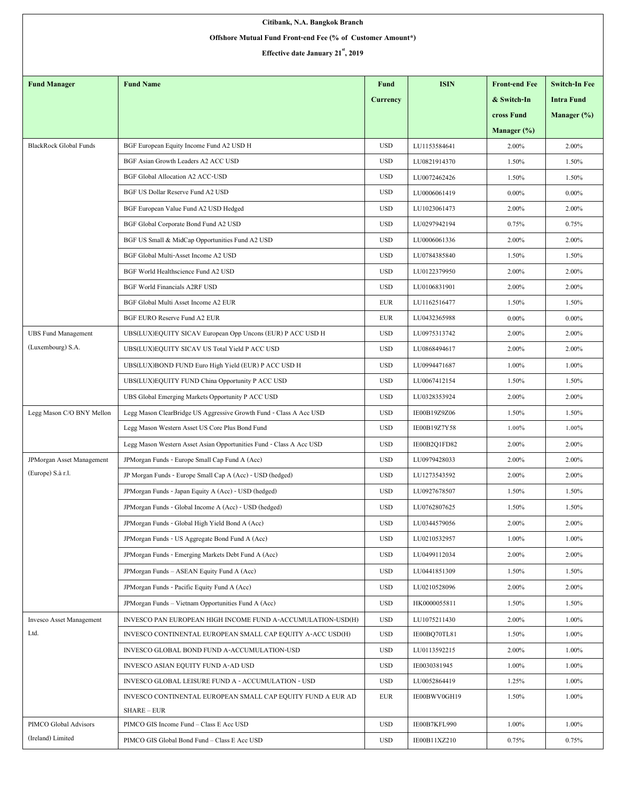| Citibank, N.A. Bangkok Branch                              |                                                                            |                 |              |                      |                      |  |  |  |  |  |
|------------------------------------------------------------|----------------------------------------------------------------------------|-----------------|--------------|----------------------|----------------------|--|--|--|--|--|
| Offshore Mutual Fund Front-end Fee (% of Customer Amount*) |                                                                            |                 |              |                      |                      |  |  |  |  |  |
| Effective date January 21 <sup>st</sup> , 2019             |                                                                            |                 |              |                      |                      |  |  |  |  |  |
|                                                            |                                                                            |                 |              |                      |                      |  |  |  |  |  |
| <b>Fund Manager</b>                                        | <b>Fund Name</b>                                                           | Fund            | <b>ISIN</b>  | <b>Front-end Fee</b> | <b>Switch-In Fee</b> |  |  |  |  |  |
|                                                            |                                                                            | <b>Currency</b> |              | & Switch-In          | <b>Intra Fund</b>    |  |  |  |  |  |
|                                                            |                                                                            |                 |              | cross Fund           | Manager (%)          |  |  |  |  |  |
|                                                            |                                                                            |                 |              | Manager (%)          |                      |  |  |  |  |  |
| <b>BlackRock Global Funds</b>                              | BGF European Equity Income Fund A2 USD H                                   | <b>USD</b>      | LU1153584641 | 2.00%                | 2.00%                |  |  |  |  |  |
|                                                            | BGF Asian Growth Leaders A2 ACC USD                                        | <b>USD</b>      | LU0821914370 | 1.50%                | 1.50%                |  |  |  |  |  |
|                                                            | <b>BGF Global Allocation A2 ACC-USD</b>                                    | <b>USD</b>      | LU0072462426 | 1.50%                | 1.50%                |  |  |  |  |  |
|                                                            | BGF US Dollar Reserve Fund A2 USD                                          | <b>USD</b>      | LU0006061419 | $0.00\%$             | $0.00\%$             |  |  |  |  |  |
|                                                            | BGF European Value Fund A2 USD Hedged                                      | <b>USD</b>      | LU1023061473 | 2.00%                | 2.00%                |  |  |  |  |  |
|                                                            | BGF Global Corporate Bond Fund A2 USD                                      | <b>USD</b>      | LU0297942194 | 0.75%                | 0.75%                |  |  |  |  |  |
|                                                            | BGF US Small & MidCap Opportunities Fund A2 USD                            | <b>USD</b>      | LU0006061336 | 2.00%                | 2.00%                |  |  |  |  |  |
|                                                            | BGF Global Multi-Asset Income A2 USD                                       | <b>USD</b>      | LU0784385840 | 1.50%                | 1.50%                |  |  |  |  |  |
|                                                            | BGF World Healthscience Fund A2 USD                                        | <b>USD</b>      | LU0122379950 | 2.00%                | 2.00%                |  |  |  |  |  |
|                                                            | <b>BGF World Financials A2RF USD</b>                                       | <b>USD</b>      | LU0106831901 | 2.00%                | 2.00%                |  |  |  |  |  |
|                                                            | BGF Global Multi Asset Income A2 EUR                                       | <b>EUR</b>      | LU1162516477 | 1.50%                | 1.50%                |  |  |  |  |  |
|                                                            | BGF EURO Reserve Fund A2 EUR                                               | <b>EUR</b>      | LU0432365988 | $0.00\%$             | $0.00\%$             |  |  |  |  |  |
| <b>UBS Fund Management</b>                                 | UBS(LUX)EQUITY SICAV European Opp Uncons (EUR) P ACC USD H                 | <b>USD</b>      | LU0975313742 | 2.00%                | 2.00%                |  |  |  |  |  |
| (Luxembourg) S.A.                                          | UBS(LUX)EQUITY SICAV US Total Yield P ACC USD                              | <b>USD</b>      | LU0868494617 | 2.00%                | 2.00%                |  |  |  |  |  |
|                                                            | UBS(LUX)BOND FUND Euro High Yield (EUR) P ACC USD H                        | <b>USD</b>      | LU0994471687 | 1.00%                | 1.00%                |  |  |  |  |  |
|                                                            | UBS(LUX)EQUITY FUND China Opportunity P ACC USD                            | <b>USD</b>      | LU0067412154 | 1.50%                | 1.50%                |  |  |  |  |  |
|                                                            | UBS Global Emerging Markets Opportunity P ACC USD                          | <b>USD</b>      | LU0328353924 | 2.00%                | 2.00%                |  |  |  |  |  |
| Legg Mason C/O BNY Mellon                                  | Legg Mason ClearBridge US Aggressive Growth Fund - Class A Acc USD         | <b>USD</b>      | IE00B19Z9Z06 | 1.50%                | 1.50%                |  |  |  |  |  |
|                                                            | Legg Mason Western Asset US Core Plus Bond Fund                            | <b>USD</b>      | IE00B19Z7Y58 | 1.00%                | 1.00%                |  |  |  |  |  |
|                                                            | Legg Mason Western Asset Asian Opportunities Fund - Class A Acc USD        | <b>USD</b>      | IE00B2Q1FD82 | 2.00%                | 2.00%                |  |  |  |  |  |
| JPMorgan Asset Management                                  | JPMorgan Funds - Europe Small Cap Fund A (Acc)                             | <b>USD</b>      | LU0979428033 | 2.00%                | 2.00%                |  |  |  |  |  |
| (Europe) S.à r.l.                                          | JP Morgan Funds - Europe Small Cap A (Acc) - USD (hedged)                  | <b>USD</b>      | LU1273543592 | 2.00%                | 2.00%                |  |  |  |  |  |
|                                                            | JPMorgan Funds - Japan Equity A (Acc) - USD (hedged)                       | <b>USD</b>      | LU0927678507 | 1.50%                | 1.50%                |  |  |  |  |  |
|                                                            | JPMorgan Funds - Global Income A (Acc) - USD (hedged)                      | <b>USD</b>      | LU0762807625 | 1.50%                | 1.50%                |  |  |  |  |  |
|                                                            | JPM organ Funds - Global High Yield Bond A (Acc)                           | <b>USD</b>      | LU0344579056 | 2.00%                | 2.00%                |  |  |  |  |  |
|                                                            | JPMorgan Funds - US Aggregate Bond Fund A (Acc)                            | <b>USD</b>      | LU0210532957 | 1.00%                | 1.00%                |  |  |  |  |  |
|                                                            | JPMorgan Funds - Emerging Markets Debt Fund A (Acc)                        | <b>USD</b>      | LU0499112034 | 2.00%                | 2.00%                |  |  |  |  |  |
|                                                            | JPMorgan Funds - ASEAN Equity Fund A (Acc)                                 | <b>USD</b>      | LU0441851309 | 1.50%                | 1.50%                |  |  |  |  |  |
|                                                            | JPMorgan Funds - Pacific Equity Fund A (Acc)                               | <b>USD</b>      | LU0210528096 | 2.00%                | 2.00%                |  |  |  |  |  |
|                                                            | JPM organ Funds - Vietnam Opportunities Fund A (Acc)                       | <b>USD</b>      | HK0000055811 | 1.50%                | 1.50%                |  |  |  |  |  |
| <b>Invesco Asset Management</b>                            | INVESCO PAN EUROPEAN HIGH INCOME FUND A-ACCUMULATION-USD(H)                | <b>USD</b>      | LU1075211430 | 2.00%                | 1.00%                |  |  |  |  |  |
| Ltd.                                                       | INVESCO CONTINENTAL EUROPEAN SMALL CAP EQUITY A-ACC USD(H)                 | <b>USD</b>      | IE00BQ70TL81 | 1.50%                | 1.00%                |  |  |  |  |  |
|                                                            | INVESCO GLOBAL BOND FUND A-ACCUMULATION-USD                                | <b>USD</b>      | LU0113592215 | 2.00%                | 1.00%                |  |  |  |  |  |
|                                                            | INVESCO ASIAN EQUITY FUND A-AD USD                                         | <b>USD</b>      | IE0030381945 | $1.00\%$             | 1.00%                |  |  |  |  |  |
|                                                            | INVESCO GLOBAL LEISURE FUND A - ACCUMULATION - USD                         | <b>USD</b>      | LU0052864419 | 1.25%                | 1.00%                |  |  |  |  |  |
|                                                            | INVESCO CONTINENTAL EUROPEAN SMALL CAP EQUITY FUND A EUR AD<br>SHARE - EUR | <b>EUR</b>      | IE00BWV0GH19 | 1.50%                | 1.00%                |  |  |  |  |  |
| PIMCO Global Advisors                                      | PIMCO GIS Income Fund - Class E Acc USD                                    | <b>USD</b>      | IE00B7KFL990 | 1.00%                | 1.00%                |  |  |  |  |  |
| (Ireland) Limited                                          | PIMCO GIS Global Bond Fund - Class E Acc USD                               | <b>USD</b>      | IE00B11XZ210 | 0.75%                | 0.75%                |  |  |  |  |  |